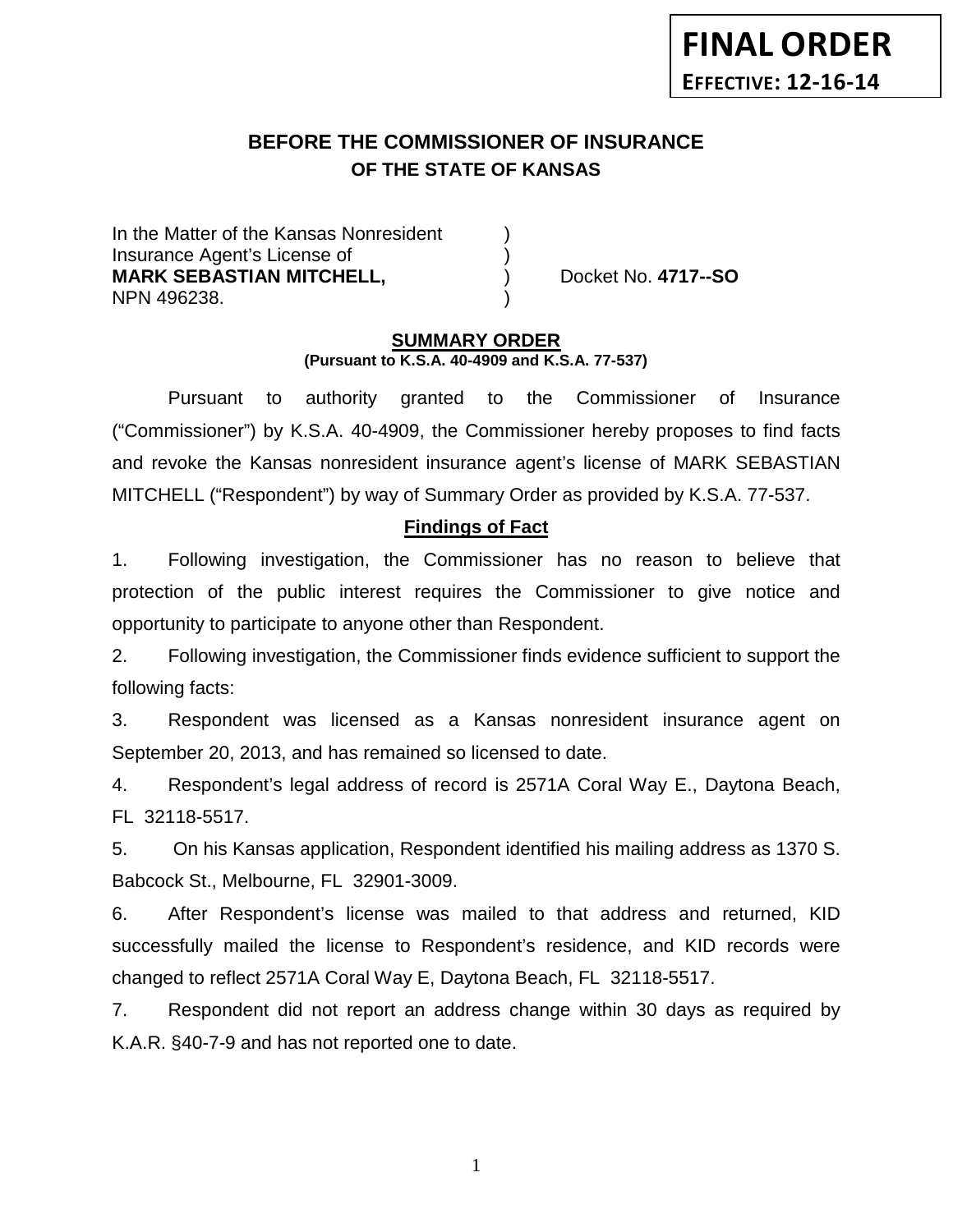# **BEFORE THE COMMISSIONER OF INSURANCE OF THE STATE OF KANSAS**

In the Matter of the Kansas Nonresident Insurance Agent's License of ) **MARK SEBASTIAN MITCHELL,** ) Docket No. **4717--SO** NPN 496238. )

### **SUMMARY ORDER (Pursuant to K.S.A. 40-4909 and K.S.A. 77-537)**

Pursuant to authority granted to the Commissioner of Insurance ("Commissioner") by K.S.A. 40-4909, the Commissioner hereby proposes to find facts and revoke the Kansas nonresident insurance agent's license of MARK SEBASTIAN MITCHELL ("Respondent") by way of Summary Order as provided by K.S.A. 77-537.

## **Findings of Fact**

1. Following investigation, the Commissioner has no reason to believe that protection of the public interest requires the Commissioner to give notice and opportunity to participate to anyone other than Respondent.

2. Following investigation, the Commissioner finds evidence sufficient to support the following facts:

3. Respondent was licensed as a Kansas nonresident insurance agent on September 20, 2013, and has remained so licensed to date.

4. Respondent's legal address of record is 2571A Coral Way E., Daytona Beach, FL 32118-5517.

5. On his Kansas application, Respondent identified his mailing address as 1370 S. Babcock St., Melbourne, FL 32901-3009.

6. After Respondent's license was mailed to that address and returned, KID successfully mailed the license to Respondent's residence, and KID records were changed to reflect 2571A Coral Way E, Daytona Beach, FL 32118-5517.

7. Respondent did not report an address change within 30 days as required by K.A.R. §40-7-9 and has not reported one to date.

1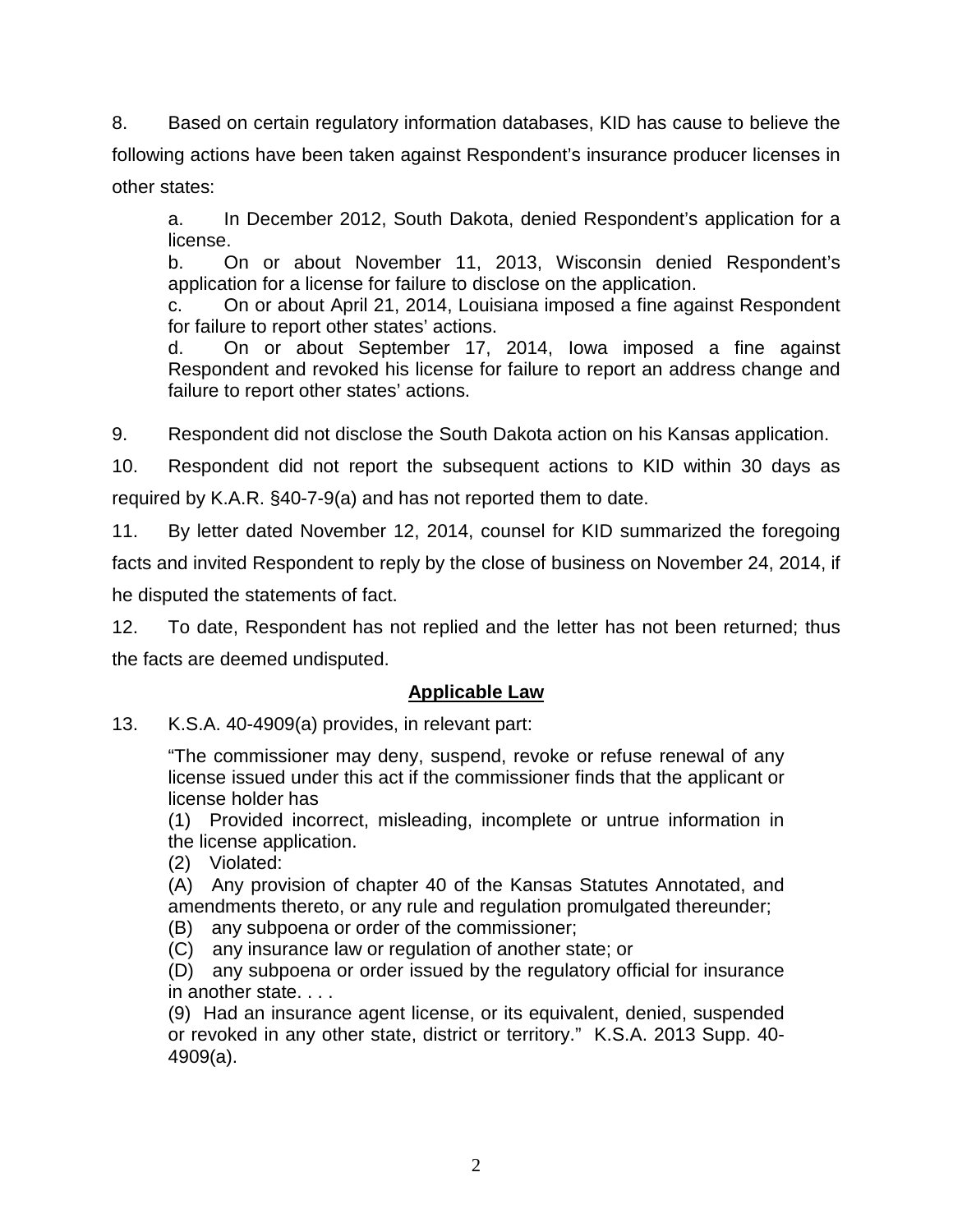8. Based on certain regulatory information databases, KID has cause to believe the following actions have been taken against Respondent's insurance producer licenses in other states:

a. In December 2012, South Dakota, denied Respondent's application for a license.

b. On or about November 11, 2013, Wisconsin denied Respondent's application for a license for failure to disclose on the application.

c. On or about April 21, 2014, Louisiana imposed a fine against Respondent for failure to report other states' actions.

d. On or about September 17, 2014, Iowa imposed a fine against Respondent and revoked his license for failure to report an address change and failure to report other states' actions.

9. Respondent did not disclose the South Dakota action on his Kansas application.

10. Respondent did not report the subsequent actions to KID within 30 days as required by K.A.R. §40-7-9(a) and has not reported them to date.

11. By letter dated November 12, 2014, counsel for KID summarized the foregoing facts and invited Respondent to reply by the close of business on November 24, 2014, if he disputed the statements of fact.

12. To date, Respondent has not replied and the letter has not been returned; thus the facts are deemed undisputed.

# **Applicable Law**

13. K.S.A. 40-4909(a) provides, in relevant part:

"The commissioner may deny, suspend, revoke or refuse renewal of any license issued under this act if the commissioner finds that the applicant or license holder has

(1) Provided incorrect, misleading, incomplete or untrue information in the license application.

(2) Violated:

(A) Any provision of chapter 40 of the Kansas Statutes Annotated, and amendments thereto, or any rule and regulation promulgated thereunder;

(B) any subpoena or order of the commissioner;

(C) any insurance law or regulation of another state; or

(D) any subpoena or order issued by the regulatory official for insurance in another state. . . .

(9) Had an insurance agent license, or its equivalent, denied, suspended or revoked in any other state, district or territory." K.S.A. 2013 Supp. 40- 4909(a).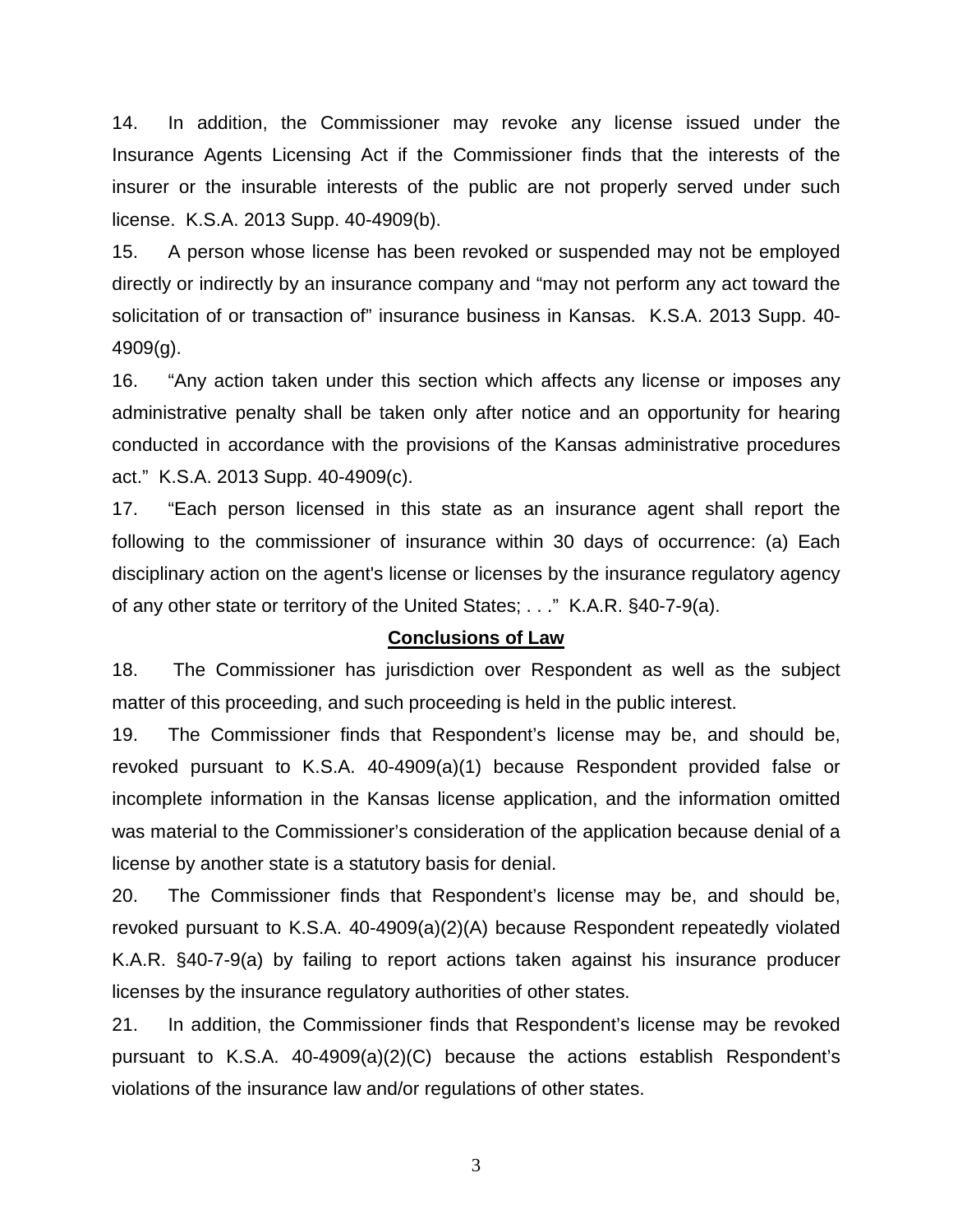14. In addition, the Commissioner may revoke any license issued under the Insurance Agents Licensing Act if the Commissioner finds that the interests of the insurer or the insurable interests of the public are not properly served under such license. K.S.A. 2013 Supp. 40-4909(b).

15. A person whose license has been revoked or suspended may not be employed directly or indirectly by an insurance company and "may not perform any act toward the solicitation of or transaction of" insurance business in Kansas. K.S.A. 2013 Supp. 40- 4909(g).

16. "Any action taken under this section which affects any license or imposes any administrative penalty shall be taken only after notice and an opportunity for hearing conducted in accordance with the provisions of the Kansas administrative procedures act." K.S.A. 2013 Supp. 40-4909(c).

17. "Each person licensed in this state as an insurance agent shall report the following to the commissioner of insurance within 30 days of occurrence: (a) Each disciplinary action on the agent's license or licenses by the insurance regulatory agency of any other state or territory of the United States; . . ." K.A.R. §40-7-9(a).

#### **Conclusions of Law**

18. The Commissioner has jurisdiction over Respondent as well as the subject matter of this proceeding, and such proceeding is held in the public interest.

19. The Commissioner finds that Respondent's license may be, and should be, revoked pursuant to K.S.A. 40-4909(a)(1) because Respondent provided false or incomplete information in the Kansas license application, and the information omitted was material to the Commissioner's consideration of the application because denial of a license by another state is a statutory basis for denial.

20. The Commissioner finds that Respondent's license may be, and should be, revoked pursuant to K.S.A. 40-4909(a)(2)(A) because Respondent repeatedly violated K.A.R. §40-7-9(a) by failing to report actions taken against his insurance producer licenses by the insurance regulatory authorities of other states.

21. In addition, the Commissioner finds that Respondent's license may be revoked pursuant to K.S.A. 40-4909(a)(2)(C) because the actions establish Respondent's violations of the insurance law and/or regulations of other states.

3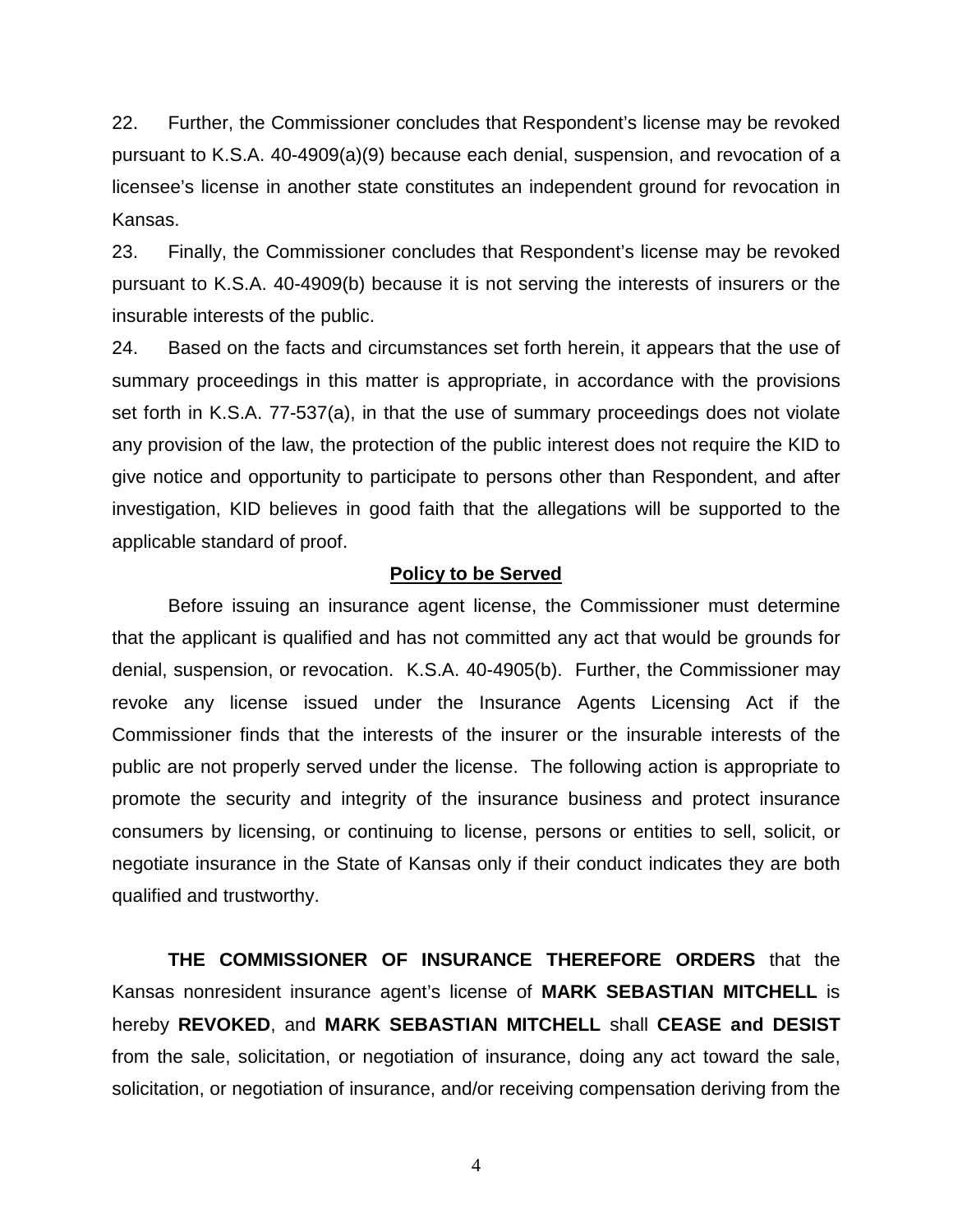22. Further, the Commissioner concludes that Respondent's license may be revoked pursuant to K.S.A. 40-4909(a)(9) because each denial, suspension, and revocation of a licensee's license in another state constitutes an independent ground for revocation in Kansas.

23. Finally, the Commissioner concludes that Respondent's license may be revoked pursuant to K.S.A. 40-4909(b) because it is not serving the interests of insurers or the insurable interests of the public.

24. Based on the facts and circumstances set forth herein, it appears that the use of summary proceedings in this matter is appropriate, in accordance with the provisions set forth in K.S.A. 77-537(a), in that the use of summary proceedings does not violate any provision of the law, the protection of the public interest does not require the KID to give notice and opportunity to participate to persons other than Respondent, and after investigation, KID believes in good faith that the allegations will be supported to the applicable standard of proof.

### **Policy to be Served**

Before issuing an insurance agent license, the Commissioner must determine that the applicant is qualified and has not committed any act that would be grounds for denial, suspension, or revocation. K.S.A. 40-4905(b). Further, the Commissioner may revoke any license issued under the Insurance Agents Licensing Act if the Commissioner finds that the interests of the insurer or the insurable interests of the public are not properly served under the license. The following action is appropriate to promote the security and integrity of the insurance business and protect insurance consumers by licensing, or continuing to license, persons or entities to sell, solicit, or negotiate insurance in the State of Kansas only if their conduct indicates they are both qualified and trustworthy.

**THE COMMISSIONER OF INSURANCE THEREFORE ORDERS** that the Kansas nonresident insurance agent's license of **MARK SEBASTIAN MITCHELL** is hereby **REVOKED**, and **MARK SEBASTIAN MITCHELL** shall **CEASE and DESIST** from the sale, solicitation, or negotiation of insurance, doing any act toward the sale, solicitation, or negotiation of insurance, and/or receiving compensation deriving from the

4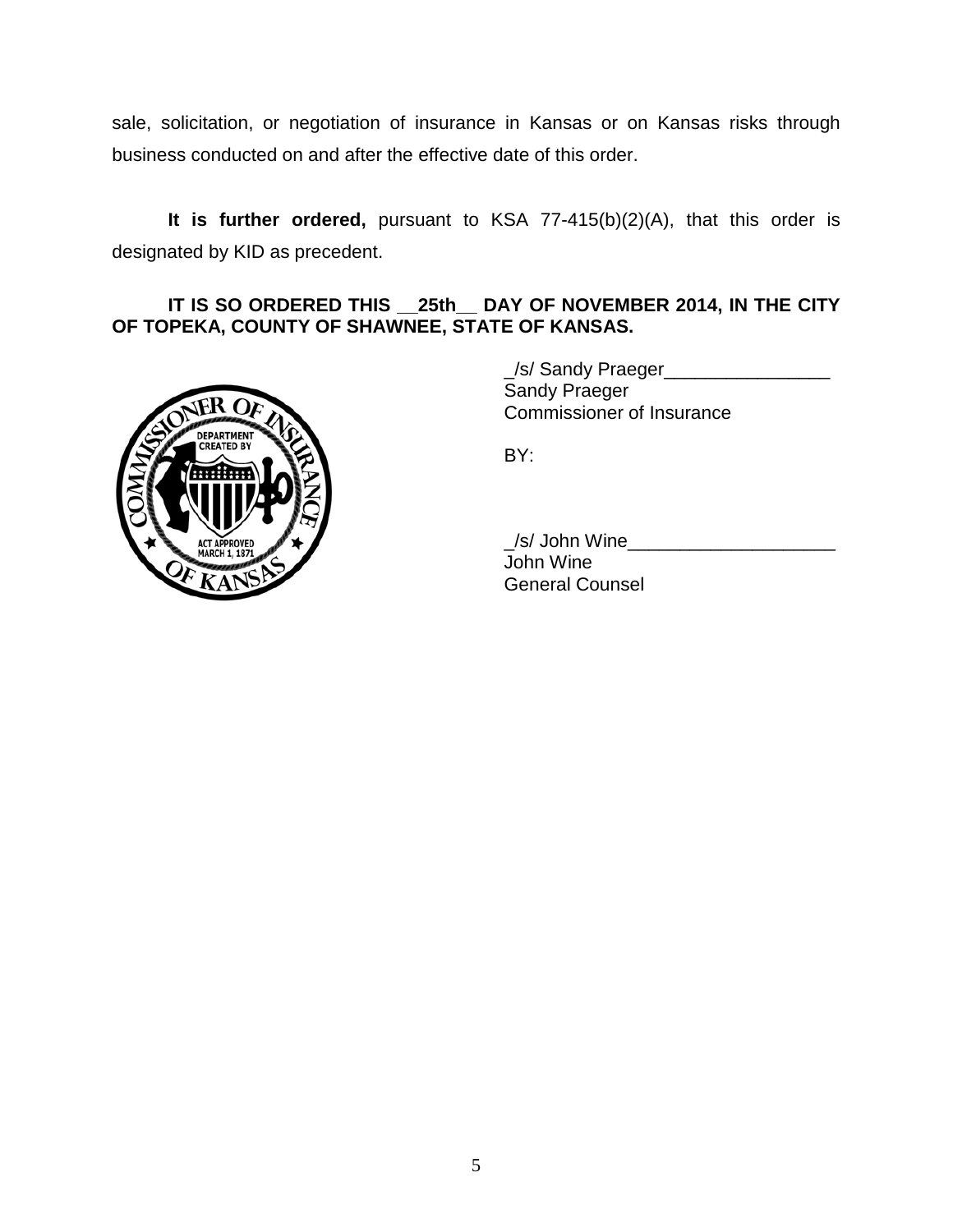sale, solicitation, or negotiation of insurance in Kansas or on Kansas risks through business conducted on and after the effective date of this order.

**It is further ordered,** pursuant to KSA 77-415(b)(2)(A), that this order is designated by KID as precedent.

## **IT IS SO ORDERED THIS \_\_25th\_\_ DAY OF NOVEMBER 2014, IN THE CITY OF TOPEKA, COUNTY OF SHAWNEE, STATE OF KANSAS.**



\_/s/ Sandy Praeger\_\_\_\_\_\_\_\_\_\_\_\_\_\_\_\_ Sandy Praeger Commissioner of Insurance

BY:

\_/s/ John Wine\_\_\_\_\_\_\_\_\_\_\_\_\_\_\_\_\_\_\_\_

John Wine General Counsel